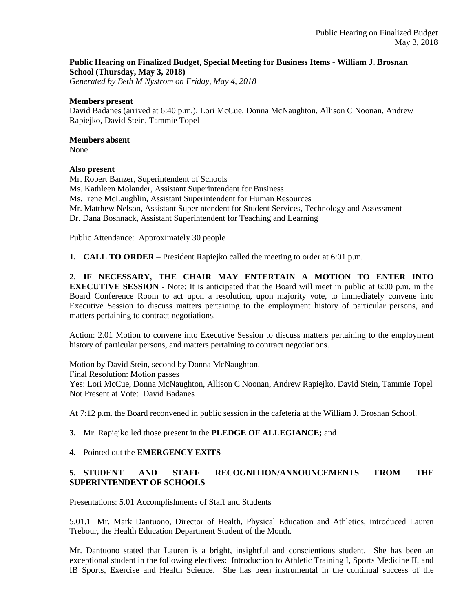# **Public Hearing on Finalized Budget, Special Meeting for Business Items - William J. Brosnan School (Thursday, May 3, 2018)**

*Generated by Beth M Nystrom on Friday, May 4, 2018*

#### **Members present**

David Badanes (arrived at 6:40 p.m.), Lori McCue, Donna McNaughton, Allison C Noonan, Andrew Rapiejko, David Stein, Tammie Topel

#### **Members absent**

None

#### **Also present**

Mr. Robert Banzer, Superintendent of Schools Ms. Kathleen Molander, Assistant Superintendent for Business Ms. Irene McLaughlin, Assistant Superintendent for Human Resources Mr. Matthew Nelson, Assistant Superintendent for Student Services, Technology and Assessment Dr. Dana Boshnack, Assistant Superintendent for Teaching and Learning

Public Attendance: Approximately 30 people

**1. CALL TO ORDER** – President Rapiejko called the meeting to order at 6:01 p.m.

**2. IF NECESSARY, THE CHAIR MAY ENTERTAIN A MOTION TO ENTER INTO EXECUTIVE SESSION** - Note: It is anticipated that the Board will meet in public at 6:00 p.m. in the Board Conference Room to act upon a resolution, upon majority vote, to immediately convene into Executive Session to discuss matters pertaining to the employment history of particular persons, and matters pertaining to contract negotiations.

Action: 2.01 Motion to convene into Executive Session to discuss matters pertaining to the employment history of particular persons, and matters pertaining to contract negotiations.

Motion by David Stein, second by Donna McNaughton. Final Resolution: Motion passes Yes: Lori McCue, Donna McNaughton, Allison C Noonan, Andrew Rapiejko, David Stein, Tammie Topel Not Present at Vote: David Badanes

At 7:12 p.m. the Board reconvened in public session in the cafeteria at the William J. Brosnan School.

## **3.** Mr. Rapiejko led those present in the **PLEDGE OF ALLEGIANCE;** and

## **4.** Pointed out the **EMERGENCY EXITS**

# **5. STUDENT AND STAFF RECOGNITION/ANNOUNCEMENTS FROM THE SUPERINTENDENT OF SCHOOLS**

Presentations: 5.01 Accomplishments of Staff and Students

5.01.1 Mr. Mark Dantuono, Director of Health, Physical Education and Athletics, introduced Lauren Trebour, the Health Education Department Student of the Month.

Mr. Dantuono stated that Lauren is a bright, insightful and conscientious student. She has been an exceptional student in the following electives: Introduction to Athletic Training I, Sports Medicine II, and IB Sports, Exercise and Health Science. She has been instrumental in the continual success of the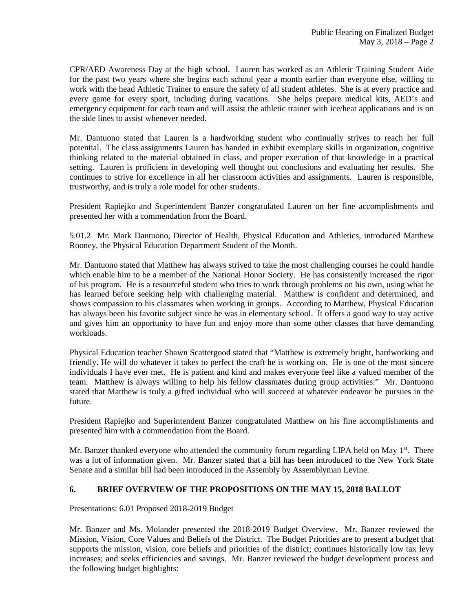CPR/AED Awareness Day at the high school. Lauren has worked as an Athletic Training Student Aide for the past two years where she begins each school year a month earlier than everyone else, willing to work with the head Athletic Trainer to ensure the safety of all student athletes. She is at every practice and every game for every sport, including during vacations. She helps prepare medical kits, AED's and emergency equipment for each team and will assist the athletic trainer with ice/heat applications and is on the side lines to assist whenever needed.

Mr. Dantuono stated that Lauren is a hardworking student who continually strives to reach her full potential. The class assignments Lauren has handed in exhibit exemplary skills in organization, cognitive thinking related to the material obtained in class, and proper execution of that knowledge in a practical setting. Lauren is proficient in developing well thought out conclusions and evaluating her results. She continues to strive for excellence in all her classroom activities and assignments. Lauren is responsible, trustworthy, and is truly a role model for other students.

President Rapiejko and Superintendent Banzer congratulated Lauren on her fine accomplishments and presented her with a commendation from the Board.

5.01.2 Mr. Mark Dantuono, Director of Health, Physical Education and Athletics, introduced Matthew Rooney, the Physical Education Department Student of the Month.

Mr. Dantuono stated that Matthew has always strived to take the most challenging courses he could handle which enable him to be a member of the National Honor Society. He has consistently increased the rigor of his program. He is a resourceful student who tries to work through problems on his own, using what he has learned before seeking help with challenging material. Matthew is confident and determined, and shows compassion to his classmates when working in groups. According to Matthew, Physical Education has always been his favorite subject since he was in elementary school. It offers a good way to stay active and gives him an opportunity to have fun and enjoy more than some other classes that have demanding workloads.

Physical Education teacher Shawn Scattergood stated that "Matthew is extremely bright, hardworking and friendly. He will do whatever it takes to perfect the craft he is working on. He is one of the most sincere individuals I have ever met. He is patient and kind and makes everyone feel like a valued member of the team. Matthew is always willing to help his fellow classmates during group activities." Mr. Dantuono stated that Matthew is truly a gifted individual who will succeed at whatever endeavor he pursues in the future.

President Rapiejko and Superintendent Banzer congratulated Matthew on his fine accomplishments and presented him with a commendation from the Board.

Mr. Banzer thanked everyone who attended the community forum regarding LIPA held on May  $1<sup>st</sup>$ . There was a lot of information given. Mr. Banzer stated that a bill has been introduced to the New York State Senate and a similar bill had been introduced in the Assembly by Assemblyman Levine.

## **6. BRIEF OVERVIEW OF THE PROPOSITIONS ON THE MAY 15, 2018 BALLOT**

Presentations: 6.01 Proposed 2018-2019 Budget

Mr. Banzer and Ms. Molander presented the 2018-2019 Budget Overview. Mr. Banzer reviewed the Mission, Vision, Core Values and Beliefs of the District. The Budget Priorities are to present a budget that supports the mission, vision, core beliefs and priorities of the district; continues historically low tax levy increases; and seeks efficiencies and savings. Mr. Banzer reviewed the budget development process and the following budget highlights: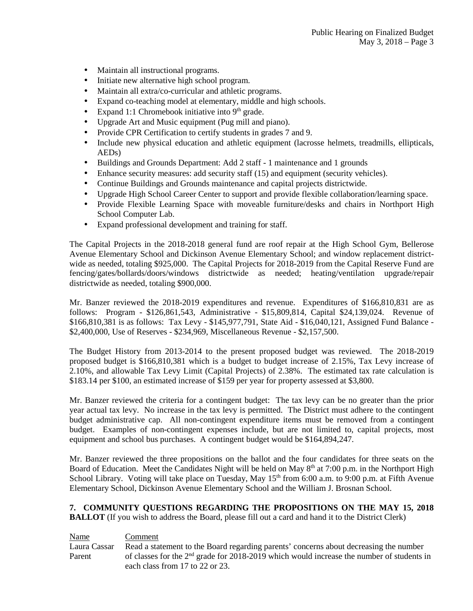- Maintain all instructional programs.
- Initiate new alternative high school program.
- Maintain all extra/co-curricular and athletic programs.
- Expand co-teaching model at elementary, middle and high schools.
- Expand 1:1 Chromebook initiative into  $9<sup>th</sup>$  grade.
- Upgrade Art and Music equipment (Pug mill and piano).
- Provide CPR Certification to certify students in grades 7 and 9.
- Include new physical education and athletic equipment (lacrosse helmets, treadmills, ellipticals, AEDs)
- Buildings and Grounds Department: Add 2 staff 1 maintenance and 1 grounds
- Enhance security measures: add security staff (15) and equipment (security vehicles).
- Continue Buildings and Grounds maintenance and capital projects districtwide.
- Upgrade High School Career Center to support and provide flexible collaboration/learning space.
- Provide Flexible Learning Space with moveable furniture/desks and chairs in Northport High School Computer Lab.
- Expand professional development and training for staff.

The Capital Projects in the 2018-2018 general fund are roof repair at the High School Gym, Bellerose Avenue Elementary School and Dickinson Avenue Elementary School; and window replacement districtwide as needed, totaling \$925,000. The Capital Projects for 2018-2019 from the Capital Reserve Fund are fencing/gates/bollards/doors/windows districtwide as needed; heating/ventilation upgrade/repair districtwide as needed, totaling \$900,000.

Mr. Banzer reviewed the 2018-2019 expenditures and revenue. Expenditures of \$166,810,831 are as follows: Program - \$126,861,543, Administrative - \$15,809,814, Capital \$24,139,024. Revenue of \$166,810,381 is as follows: Tax Levy - \$145,977,791, State Aid - \$16,040,121, Assigned Fund Balance - \$2,400,000, Use of Reserves - \$234,969, Miscellaneous Revenue - \$2,157,500.

The Budget History from 2013-2014 to the present proposed budget was reviewed. The 2018-2019 proposed budget is \$166,810,381 which is a budget to budget increase of 2.15%, Tax Levy increase of 2.10%, and allowable Tax Levy Limit (Capital Projects) of 2.38%. The estimated tax rate calculation is \$183.14 per \$100, an estimated increase of \$159 per year for property assessed at \$3,800.

Mr. Banzer reviewed the criteria for a contingent budget: The tax levy can be no greater than the prior year actual tax levy. No increase in the tax levy is permitted. The District must adhere to the contingent budget administrative cap. All non-contingent expenditure items must be removed from a contingent budget. Examples of non-contingent expenses include, but are not limited to, capital projects, most equipment and school bus purchases. A contingent budget would be \$164,894,247.

Mr. Banzer reviewed the three propositions on the ballot and the four candidates for three seats on the Board of Education. Meet the Candidates Night will be held on May 8<sup>th</sup> at 7:00 p.m. in the Northport High School Library. Voting will take place on Tuesday, May 15<sup>th</sup> from 6:00 a.m. to 9:00 p.m. at Fifth Avenue Elementary School, Dickinson Avenue Elementary School and the William J. Brosnan School.

**7. COMMUNITY QUESTIONS REGARDING THE PROPOSITIONS ON THE MAY 15, 2018 BALLOT** (If you wish to address the Board, please fill out a card and hand it to the District Clerk)

| <b>Name</b>  | Comment                                                                                     |
|--------------|---------------------------------------------------------------------------------------------|
| Laura Cassar | Read a statement to the Board regarding parents' concerns about decreasing the number       |
| Parent       | of classes for the $2nd$ grade for 2018-2019 which would increase the number of students in |
|              | each class from 17 to 22 or 23.                                                             |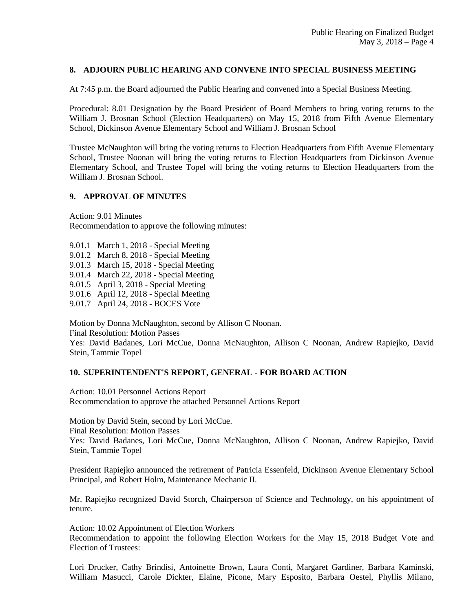# **8. ADJOURN PUBLIC HEARING AND CONVENE INTO SPECIAL BUSINESS MEETING**

At 7:45 p.m. the Board adjourned the Public Hearing and convened into a Special Business Meeting.

Procedural: 8.01 Designation by the Board President of Board Members to bring voting returns to the William J. Brosnan School (Election Headquarters) on May 15, 2018 from Fifth Avenue Elementary School, Dickinson Avenue Elementary School and William J. Brosnan School

Trustee McNaughton will bring the voting returns to Election Headquarters from Fifth Avenue Elementary School, Trustee Noonan will bring the voting returns to Election Headquarters from Dickinson Avenue Elementary School, and Trustee Topel will bring the voting returns to Election Headquarters from the William J. Brosnan School.

## **9. APPROVAL OF MINUTES**

Action: 9.01 Minutes Recommendation to approve the following minutes:

9.01.1 March 1, 2018 - Special Meeting

9.01.2 March 8, 2018 - Special Meeting

9.01.3 March 15, 2018 - Special Meeting

9.01.4 March 22, 2018 - Special Meeting

9.01.5 April 3, 2018 - Special Meeting

9.01.6 April 12, 2018 - Special Meeting

9.01.7 April 24, 2018 - BOCES Vote

Motion by Donna McNaughton, second by Allison C Noonan. Final Resolution: Motion Passes Yes: David Badanes, Lori McCue, Donna McNaughton, Allison C Noonan, Andrew Rapiejko, David Stein, Tammie Topel

## **10. SUPERINTENDENT'S REPORT, GENERAL - FOR BOARD ACTION**

Action: 10.01 Personnel Actions Report Recommendation to approve the attached Personnel Actions Report

Motion by David Stein, second by Lori McCue. Final Resolution: Motion Passes Yes: David Badanes, Lori McCue, Donna McNaughton, Allison C Noonan, Andrew Rapiejko, David Stein, Tammie Topel

President Rapiejko announced the retirement of Patricia Essenfeld, Dickinson Avenue Elementary School Principal, and Robert Holm, Maintenance Mechanic II.

Mr. Rapiejko recognized David Storch, Chairperson of Science and Technology, on his appointment of tenure.

Action: 10.02 Appointment of Election Workers

Recommendation to appoint the following Election Workers for the May 15, 2018 Budget Vote and Election of Trustees:

Lori Drucker, Cathy Brindisi, Antoinette Brown, Laura Conti, Margaret Gardiner, Barbara Kaminski, William Masucci, Carole Dickter, Elaine, Picone, Mary Esposito, Barbara Oestel, Phyllis Milano,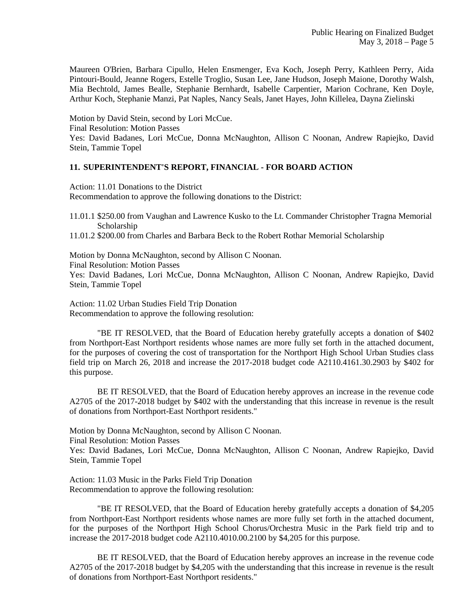Maureen O'Brien, Barbara Cipullo, Helen Ensmenger, Eva Koch, Joseph Perry, Kathleen Perry, Aida Pintouri-Bould, Jeanne Rogers, Estelle Troglio, Susan Lee, Jane Hudson, Joseph Maione, Dorothy Walsh, Mia Bechtold, James Bealle, Stephanie Bernhardt, Isabelle Carpentier, Marion Cochrane, Ken Doyle, Arthur Koch, Stephanie Manzi, Pat Naples, Nancy Seals, Janet Hayes, John Killelea, Dayna Zielinski

Motion by David Stein, second by Lori McCue. Final Resolution: Motion Passes Yes: David Badanes, Lori McCue, Donna McNaughton, Allison C Noonan, Andrew Rapiejko, David Stein, Tammie Topel

## **11. SUPERINTENDENT'S REPORT, FINANCIAL - FOR BOARD ACTION**

Action: 11.01 Donations to the District Recommendation to approve the following donations to the District:

11.01.1 \$250.00 from Vaughan and Lawrence Kusko to the Lt. Commander Christopher Tragna Memorial Scholarship

11.01.2 \$200.00 from Charles and Barbara Beck to the Robert Rothar Memorial Scholarship

Motion by Donna McNaughton, second by Allison C Noonan. Final Resolution: Motion Passes

Yes: David Badanes, Lori McCue, Donna McNaughton, Allison C Noonan, Andrew Rapiejko, David Stein, Tammie Topel

Action: 11.02 Urban Studies Field Trip Donation Recommendation to approve the following resolution:

"BE IT RESOLVED, that the Board of Education hereby gratefully accepts a donation of \$402 from Northport-East Northport residents whose names are more fully set forth in the attached document, for the purposes of covering the cost of transportation for the Northport High School Urban Studies class field trip on March 26, 2018 and increase the 2017-2018 budget code A2110.4161.30.2903 by \$402 for this purpose.

BE IT RESOLVED, that the Board of Education hereby approves an increase in the revenue code A2705 of the 2017-2018 budget by \$402 with the understanding that this increase in revenue is the result of donations from Northport-East Northport residents."

Motion by Donna McNaughton, second by Allison C Noonan.

Final Resolution: Motion Passes

Yes: David Badanes, Lori McCue, Donna McNaughton, Allison C Noonan, Andrew Rapiejko, David Stein, Tammie Topel

Action: 11.03 Music in the Parks Field Trip Donation Recommendation to approve the following resolution:

"BE IT RESOLVED, that the Board of Education hereby gratefully accepts a donation of \$4,205 from Northport-East Northport residents whose names are more fully set forth in the attached document, for the purposes of the Northport High School Chorus/Orchestra Music in the Park field trip and to increase the 2017-2018 budget code A2110.4010.00.2100 by \$4,205 for this purpose.

BE IT RESOLVED, that the Board of Education hereby approves an increase in the revenue code A2705 of the 2017-2018 budget by \$4,205 with the understanding that this increase in revenue is the result of donations from Northport-East Northport residents."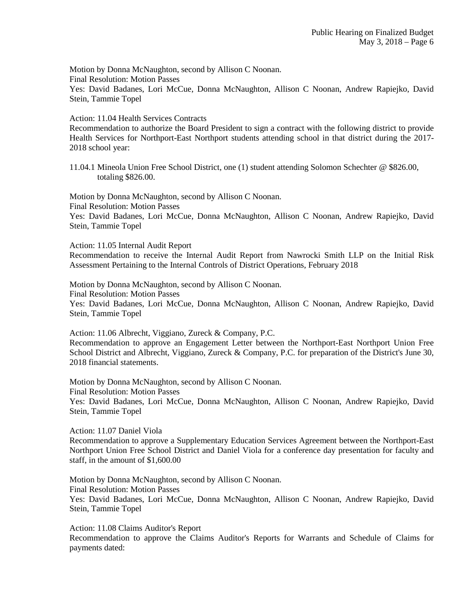Motion by Donna McNaughton, second by Allison C Noonan.

Final Resolution: Motion Passes

Yes: David Badanes, Lori McCue, Donna McNaughton, Allison C Noonan, Andrew Rapiejko, David Stein, Tammie Topel

Action: 11.04 Health Services Contracts

Recommendation to authorize the Board President to sign a contract with the following district to provide Health Services for Northport-East Northport students attending school in that district during the 2017- 2018 school year:

11.04.1 Mineola Union Free School District, one (1) student attending Solomon Schechter @ \$826.00, totaling \$826.00.

Motion by Donna McNaughton, second by Allison C Noonan. Final Resolution: Motion Passes Yes: David Badanes, Lori McCue, Donna McNaughton, Allison C Noonan, Andrew Rapiejko, David Stein, Tammie Topel

Action: 11.05 Internal Audit Report

Recommendation to receive the Internal Audit Report from Nawrocki Smith LLP on the Initial Risk Assessment Pertaining to the Internal Controls of District Operations, February 2018

Motion by Donna McNaughton, second by Allison C Noonan.

Final Resolution: Motion Passes

Yes: David Badanes, Lori McCue, Donna McNaughton, Allison C Noonan, Andrew Rapiejko, David Stein, Tammie Topel

Action: 11.06 Albrecht, Viggiano, Zureck & Company, P.C. Recommendation to approve an Engagement Letter between the Northport-East Northport Union Free School District and Albrecht, Viggiano, Zureck & Company, P.C. for preparation of the District's June 30, 2018 financial statements.

Motion by Donna McNaughton, second by Allison C Noonan.

Final Resolution: Motion Passes

Yes: David Badanes, Lori McCue, Donna McNaughton, Allison C Noonan, Andrew Rapiejko, David Stein, Tammie Topel

Action: 11.07 Daniel Viola

Recommendation to approve a Supplementary Education Services Agreement between the Northport-East Northport Union Free School District and Daniel Viola for a conference day presentation for faculty and staff, in the amount of \$1,600.00

Motion by Donna McNaughton, second by Allison C Noonan.

Final Resolution: Motion Passes

Yes: David Badanes, Lori McCue, Donna McNaughton, Allison C Noonan, Andrew Rapiejko, David Stein, Tammie Topel

Action: 11.08 Claims Auditor's Report

Recommendation to approve the Claims Auditor's Reports for Warrants and Schedule of Claims for payments dated: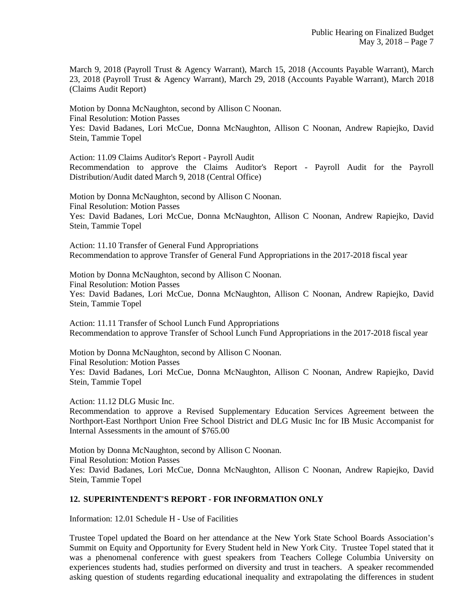March 9, 2018 (Payroll Trust & Agency Warrant), March 15, 2018 (Accounts Payable Warrant), March 23, 2018 (Payroll Trust & Agency Warrant), March 29, 2018 (Accounts Payable Warrant), March 2018 (Claims Audit Report)

Motion by Donna McNaughton, second by Allison C Noonan. Final Resolution: Motion Passes Yes: David Badanes, Lori McCue, Donna McNaughton, Allison C Noonan, Andrew Rapiejko, David Stein, Tammie Topel

Action: 11.09 Claims Auditor's Report - Payroll Audit Recommendation to approve the Claims Auditor's Report - Payroll Audit for the Payroll Distribution/Audit dated March 9, 2018 (Central Office)

Motion by Donna McNaughton, second by Allison C Noonan. Final Resolution: Motion Passes Yes: David Badanes, Lori McCue, Donna McNaughton, Allison C Noonan, Andrew Rapiejko, David Stein, Tammie Topel

Action: 11.10 Transfer of General Fund Appropriations Recommendation to approve Transfer of General Fund Appropriations in the 2017-2018 fiscal year

Motion by Donna McNaughton, second by Allison C Noonan. Final Resolution: Motion Passes Yes: David Badanes, Lori McCue, Donna McNaughton, Allison C Noonan, Andrew Rapiejko, David Stein, Tammie Topel

Action: 11.11 Transfer of School Lunch Fund Appropriations Recommendation to approve Transfer of School Lunch Fund Appropriations in the 2017-2018 fiscal year

Motion by Donna McNaughton, second by Allison C Noonan. Final Resolution: Motion Passes Yes: David Badanes, Lori McCue, Donna McNaughton, Allison C Noonan, Andrew Rapiejko, David Stein, Tammie Topel

Action: 11.12 DLG Music Inc.

Recommendation to approve a Revised Supplementary Education Services Agreement between the Northport-East Northport Union Free School District and DLG Music Inc for IB Music Accompanist for Internal Assessments in the amount of \$765.00

Motion by Donna McNaughton, second by Allison C Noonan. Final Resolution: Motion Passes Yes: David Badanes, Lori McCue, Donna McNaughton, Allison C Noonan, Andrew Rapiejko, David Stein, Tammie Topel

## **12. SUPERINTENDENT'S REPORT - FOR INFORMATION ONLY**

Information: 12.01 Schedule H - Use of Facilities

Trustee Topel updated the Board on her attendance at the New York State School Boards Association's Summit on Equity and Opportunity for Every Student held in New York City. Trustee Topel stated that it was a phenomenal conference with guest speakers from Teachers College Columbia University on experiences students had, studies performed on diversity and trust in teachers. A speaker recommended asking question of students regarding educational inequality and extrapolating the differences in student